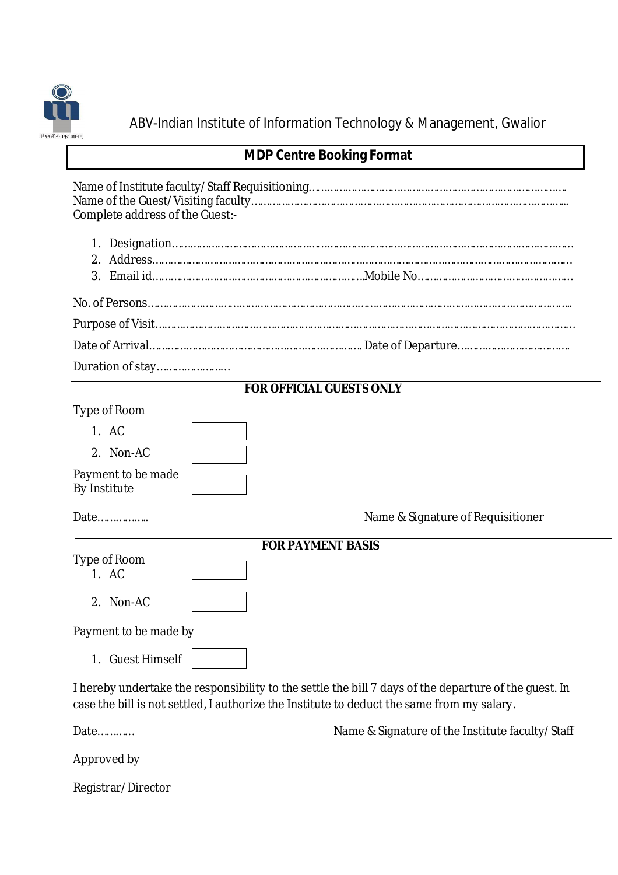

ABV-Indian Institute of Information Technology & Management, Gwalior

## **MDP Centre Booking Format**

Name of Institute faculty/Staff Requisitioning…………………………………………………………………………. Name of the Guest/Visiting faculty…………………………………………………………………………………………... Complete address of the Guest:-

| Duration of stay |
|------------------|

## **FOR OFFICIAL GUESTS ONLY**

Type of Room

| 1. AC                              |  |
|------------------------------------|--|
| 2. Non-AC                          |  |
| Payment to be made<br>By Institute |  |

Date…………….. Name & Signature of Requisitioner

|                      | <b>FOR PAYMENT BASIS</b> |
|----------------------|--------------------------|
| Type of Room<br>1 AC |                          |

2. Non-AC

Payment to be made by

1. Guest Himself

I hereby undertake the responsibility to the settle the bill 7 days of the departure of the guest. In case the bill is not settled, I authorize the Institute to deduct the same from my salary.

Date…………

Approved by

Registrar/Director